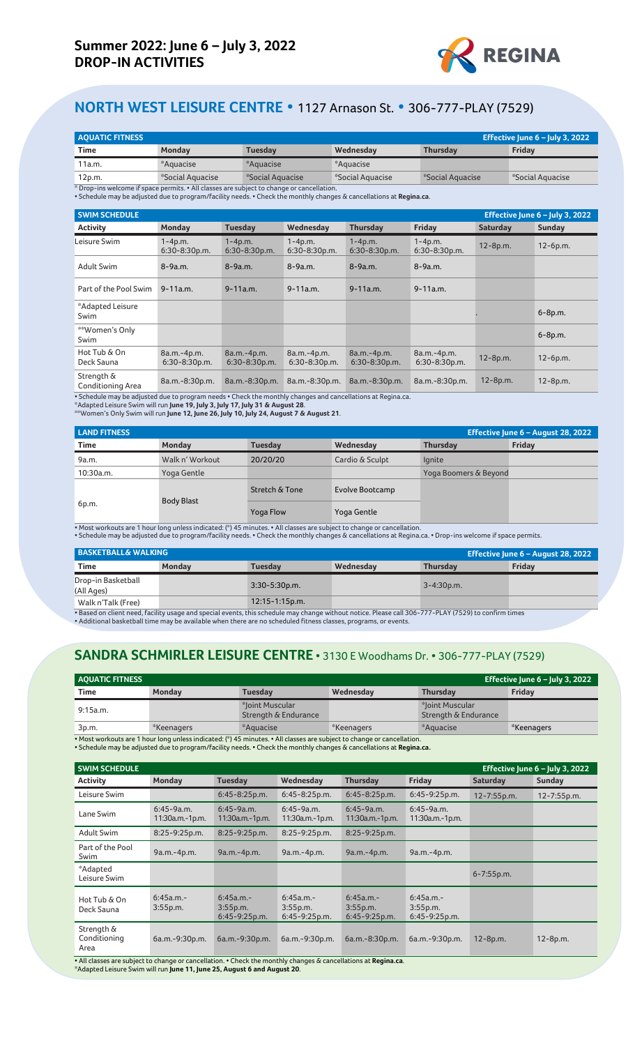

## **NORTH WEST LEISURE CENTRE •** 1127 Arnason St. **•** 306-777-PLAY (7529)

| <b>AOUATIC FITNESS</b><br>Effective June $6$ – July 3, 2022 |                  |                                                                                           |                  |                  |                  |  |  |  |
|-------------------------------------------------------------|------------------|-------------------------------------------------------------------------------------------|------------------|------------------|------------------|--|--|--|
| Time                                                        | Monday           | Tuesdav                                                                                   | Wednesday        | <b>Thursdav</b>  | Friday           |  |  |  |
| 11a.m.                                                      | *Aquacise        | *Aquacise                                                                                 | *Aquacise        |                  |                  |  |  |  |
| 12p.m.                                                      | *Social Aguacise | *Social Aguacise                                                                          | *Social Aguacise | *Social Aguacise | *Social Aguacise |  |  |  |
|                                                             |                  | * Drop-ins welcome if space permits. • All classes are subject to change or cancellation. |                  |                  |                  |  |  |  |

\* Drop-ins welcome if space permits. • All classes are subject to change or cancellation. • Schedule may be adjusted due to program/facility needs. • Check the monthly changes & cancellations at **Regina.ca**.

| <b>SWIM SCHEDULE</b>                   |                                |                                  |                                |                                  |                                |                 | Effective June $6$ – July 3, 2022 |
|----------------------------------------|--------------------------------|----------------------------------|--------------------------------|----------------------------------|--------------------------------|-----------------|-----------------------------------|
| <b>Activity</b>                        | Monday                         | <b>Tuesday</b>                   | Wednesday                      | <b>Thursday</b>                  | Friday                         | <b>Saturday</b> | Sunday                            |
| Leisure Swim                           | $1 - 4p.m.$<br>$6:30-8:30p.m.$ | $1 - 4p.m.$<br>$6:30-8:30p.m.$   | $1 - 4p.m.$<br>$6:30-8:30p.m.$ | $1 - 4p.m.$<br>$6:30-8:30p.m.$   | $1 - 4p.m.$<br>$6:30-8:30p.m.$ | $12 - 8p.m.$    | $12-6p.m.$                        |
| Adult Swim                             | $8 - 9a.m.$                    | $8 - 9a.m.$                      | $8 - 9a.m.$                    | $8 - 9a.m.$                      | $8 - 9a.m.$                    |                 |                                   |
| Part of the Pool Swim                  | $9 - 11a.m.$                   | $9 - 11a.m.$                     | $9 - 11a.m.$                   | $9 - 11a.m.$                     | $9 - 11a.m.$                   |                 |                                   |
| *Adapted Leisure<br>Swim               |                                |                                  |                                |                                  |                                |                 | $6 - 8p.m.$                       |
| **Women's Only<br>Swim                 |                                |                                  |                                |                                  |                                |                 | $6 - 8p.m.$                       |
| Hot Tub & On<br>Deck Sauna             | 8a.m.-4p.m.<br>6:30-8:30p.m.   | 8a.m.-4p.m.<br>$6:30 - 8:30p.m.$ | 8a.m.-4p.m.<br>$6:30-8:30p.m.$ | 8a.m.-4p.m.<br>$6:30 - 8:30p.m.$ | 8a.m.-4p.m.<br>$6:30-8:30p.m.$ | 12-8p.m.        | $12-6p.m.$                        |
| Strength &<br><b>Conditioning Area</b> | 8a.m.-8:30p.m.                 | 8a.m.-8:30p.m.                   | 8a.m.-8:30p.m.                 | 8a.m.-8:30p.m.                   | 8a.m.-8:30p.m.                 | $12 - 8p.m.$    | $12 - 8p.m.$                      |

• Schedule may be adjusted due to program needs • Check the monthly changes and cancellations at Regina.ca.

\*Adapted Leisure Swim will run **June 19, July 3, July 17, July 31 & August 28**.

\*\*Women's Only Swim will run **June 12, June 26, July 10, July 24, August 7 & August 21**.

| <b>LAND FITNESS</b> |                   |                | Effective June 6 - August 28, 2022 |                       |        |
|---------------------|-------------------|----------------|------------------------------------|-----------------------|--------|
| <b>Time</b>         | Monday            | <b>Tuesday</b> | Wednesday                          | <b>Thursday</b>       | Friday |
| 9a.m.               | Walk n' Workout   | 20/20/20       | Cardio & Sculpt                    | lgnite                |        |
| 10:30a.m.           | Yoga Gentle       |                |                                    | Yoga Boomers & Beyond |        |
|                     | <b>Body Blast</b> | Stretch & Tone | Evolve Bootcamp                    |                       |        |
| 6p.m.               |                   | Yoga Flow      | Yoga Gentle                        |                       |        |

• Most workouts are 1 hour long unless indicated: (\*) 45 minutes. • All classes are subject to change or cancellation.<br>• Schedule may be adjusted due to program/facility needs. • Check the monthly changes & cancellations a

| <b>BASKETBALL&amp; WALKING</b>   |               |                    |           | <b>Effective June 6 – August 28, 2022</b> |               |  |
|----------------------------------|---------------|--------------------|-----------|-------------------------------------------|---------------|--|
| Time                             | <b>Monday</b> | Tuesdav            | Wednesday | <b>Thursdav</b>                           | <b>Fridav</b> |  |
| Drop-in Basketball<br>(All Ages) |               | $3:30-5:30p.m.$    |           | $3 - 4:30p.m.$                            |               |  |
| Walk n'Talk (Free)               |               | $12:15 - 1:15p.m.$ |           |                                           |               |  |

• Based on client need, facility usage and special events, this schedule may change without notice. Please call 306-777-PLAY (7529) to confirm times<br>• Additional basketball time may be available when there are no scheduled

## **SANDRA SCHMIRLER LEISURE CENTRE •** 3130 E Woodhams Dr. **•** 306-777-PLAY (7529)

| <b>AOUATIC FITNESS</b><br>Effective June $6$ – July 3, 2022 |               |                                         |                                                                                                                        |                                         |            |  |  |  |
|-------------------------------------------------------------|---------------|-----------------------------------------|------------------------------------------------------------------------------------------------------------------------|-----------------------------------------|------------|--|--|--|
| <b>Time</b>                                                 | <b>Monday</b> | Tuesdav                                 | Wednesday                                                                                                              | <b>Thursdav</b>                         | Fridav     |  |  |  |
| 9:15a.m.                                                    |               | *Joint Muscular<br>Strength & Endurance |                                                                                                                        | *Joint Muscular<br>Strength & Endurance |            |  |  |  |
| 3p.m.                                                       | *Keenagers    | *Aguacise                               | *Keenagers                                                                                                             | *Aquacise                               | *Keenagers |  |  |  |
|                                                             |               |                                         | • Most workouts are 1 hour long unless indicated: (*) 45 minutes. • All classes are subject to change or cancellation. |                                         |            |  |  |  |

• Schedule may be adjusted due to program/facility needs. • Check the monthly changes & cancellations at **Regina.ca.**

| <b>SWIM SCHEDULE</b>               |                                 |                                             |                                             |                                             |                                         |                 | Effective June $6$ – July 3, 2022 |
|------------------------------------|---------------------------------|---------------------------------------------|---------------------------------------------|---------------------------------------------|-----------------------------------------|-----------------|-----------------------------------|
| <b>Activity</b>                    | Monday                          | <b>Tuesday</b>                              | Wednesday                                   | <b>Thursday</b>                             | Friday                                  | <b>Saturday</b> | Sunday                            |
| Leisure Swim                       |                                 | $6:45 - 8:25p.m.$                           | $6:45 - 8:25p.m.$                           | $6:45-8:25p.m.$                             | $6:45-9:25p.m.$                         | 12-7:55p.m.     | 12-7:55p.m.                       |
| Lane Swim                          | $6:45-9a.m.$<br>11:30a.m.-1p.m. | $6:45-9a.m.$<br>11:30a.m.-1p.m.             | $6:45-9a.m.$<br>11:30a.m.-1p.m.             | $6:45-9a.m.$<br>11:30a.m.-1p.m.             | $6:45-9a.m.$<br>11:30a.m.-1p.m.         |                 |                                   |
| <b>Adult Swim</b>                  | $8:25 - 9:25p.m.$               | $8:25-9:25p.m.$                             | $8:25-9:25p.m.$                             | $8:25-9:25p.m.$                             |                                         |                 |                                   |
| Part of the Pool<br>Swim           | 9a.m.-4p.m.                     | 9a.m.-4p.m.                                 | 9a.m.-4p.m.                                 | 9a.m.-4p.m.                                 | 9a.m.-4p.m.                             |                 |                                   |
| *Adapted<br>Leisure Swim           |                                 |                                             |                                             |                                             |                                         | $6 - 7:55$ p.m. |                                   |
| Hot Tub & On<br>Deck Sauna         | $6:45a.m. -$<br>3:55p.m.        | $6:45a.m. -$<br>3:55p.m.<br>$6:45-9:25p.m.$ | $6:45a.m. -$<br>3:55p.m.<br>$6:45-9:25p.m.$ | $6:45a.m. -$<br>3:55p.m.<br>$6:45-9:25p.m.$ | 6:45a.m.<br>3:55p.m.<br>$6:45-9:25p.m.$ |                 |                                   |
| Strength &<br>Conditioning<br>Area | 6a.m.-9:30p.m.                  | 6a.m.-9:30p.m.                              | 6a.m.-9:30p.m.                              | 6a.m.-8:30p.m.                              | 6a.m.-9:30p.m.                          | 12-8p.m.        | $12 - 8p.m.$                      |

• All classes are subject to change or cancellation. • Check the monthly changes & cancellations at **Regina.ca**. \*Adapted Leisure Swim will run **June 11, June 25, August 6 and August 20**.